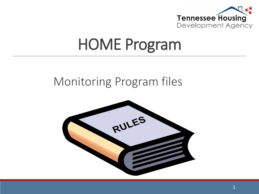

#### HOME Program

#### Monitoring Program files

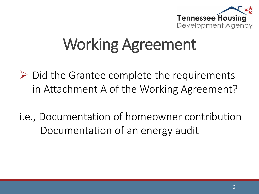

## Working Agreement

- $\triangleright$  Did the Grantee complete the requirements in Attachment A of the Working Agreement?
- i.e., Documentation of homeowner contribution Documentation of an energy audit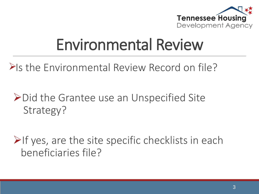

### Environmental Review

Pls the Environmental Review Record on file?

**≻Did the Grantee use an Unspecified Site** Strategy?

 $\triangleright$ If yes, are the site specific checklists in each beneficiaries file?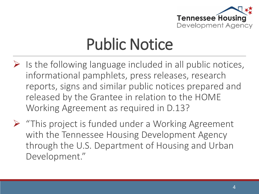

### Public Notice

- $\triangleright$  Is the following language included in all public notices, informational pamphlets, press releases, research reports, signs and similar public notices prepared and released by the Grantee in relation to the HOME Working Agreement as required in D.13?
- $\triangleright$  "This project is funded under a Working Agreement with the Tennessee Housing Development Agency through the U.S. Department of Housing and Urban Development."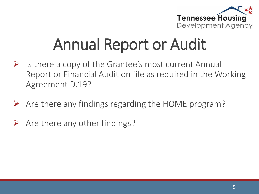

## Annual Report or Audit

- $\triangleright$  Is there a copy of the Grantee's most current Annual Report or Financial Audit on file as required in the Working Agreement D.19?
- $\triangleright$  Are there any findings regarding the HOME program?
- $\triangleright$  Are there any other findings?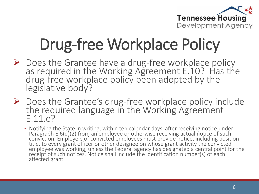

# Drug-free Workplace Policy

- $\triangleright$  Does the Grantee have a drug-free workplace policy as required in the Working Agreement E.10? Has the drug-free workplace policy been adopted by the legislative body?
- Does the Grantee's drug-free workplace policy include the required language in the Working Agreement  $F.11.97$ 
	- Notifying the State in writing, within ten calendar days after receiving notice under Paragraph E.6(d)(2) from an employee or otherwise receiving actual notice of such conviction. Employers of convicted employees must provide notice, including position title, to every grant officer or other designee on whose grant activity the convicted employee was working, unless the Federal agency has designated a central point for the receipt of such notices. Notice shall include the identification number(s) of each affected grant.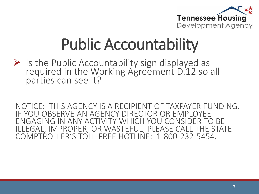

## Public Accountability

 $\triangleright$  Is the Public Accountability sign displayed as required in the Working Agreement D.12 so all parties can see it?

NOTICE: THIS AGENCY IS A RECIPIENT OF TAXPAYER FUNDING. IF YOU OBSERVE AN AGENCY DIRECTOR OR EMPLOYEE ENGAGING IN ANY ACTIVITY WHICH YOU CONSIDER TO BE ILLEGAL, IMPROPER, OR WASTEFUL, PLEASE CALL THE STATE COMPTROLLER'S TOLL-FREE HOTLINE: 1-800-232-5454.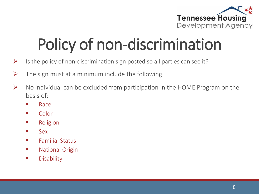

## Policy of non-discrimination

- $\triangleright$  Is the policy of non-discrimination sign posted so all parties can see it?
- $\triangleright$  The sign must at a minimum include the following:
- $\triangleright$  No individual can be excluded from participation in the HOME Program on the basis of:
	- Race
	- Color
	- **Religion**
	- **Sex**
	- **Familial Status**
	- **National Origin**
	- **Disability**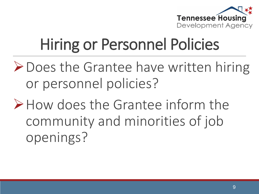

## Hiring or Personnel Policies

- Does the Grantee have written hiring or personnel policies?
- How does the Grantee inform the community and minorities of job openings?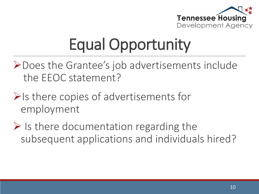

## Equal Opportunity

- Does the Grantee's job advertisements include the EEOC statement?
- $\triangleright$  Is there copies of advertisements for employment
- $\triangleright$  Is there documentation regarding the subsequent applications and individuals hired?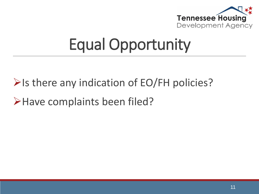

### Equal Opportunity

 $\triangleright$  Is there any indication of EO/FH policies?

>Have complaints been filed?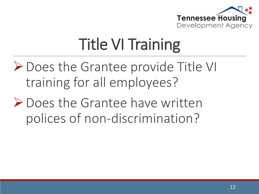

## Title VI Training

- **≻** Does the Grantee provide Title VI training for all employees?
- Does the Grantee have written polices of non-discrimination?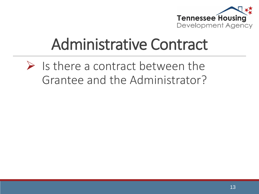

### Administrative Contract

#### $\triangleright$  Is there a contract between the Grantee and the Administrator?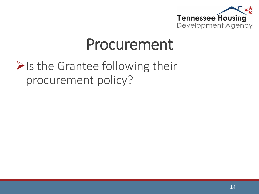

#### Procurement

#### $\triangleright$  Is the Grantee following their procurement policy?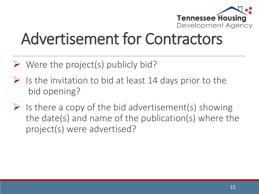

## Advertisement for Contractors

- $\triangleright$  Were the project(s) publicly bid?
- $\triangleright$  Is the invitation to bid at least 14 days prior to the bid opening?
- $\triangleright$  Is there a copy of the bid advertisement(s) showing the date(s) and name of the publication(s) where the project(s) were advertised?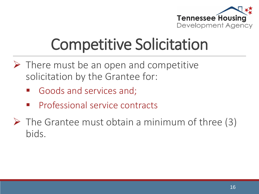

## Competitive Solicitation

- $\triangleright$  There must be an open and competitive solicitation by the Grantee for:
	- Goods and services and;
	- Professional service contracts
- $\triangleright$  The Grantee must obtain a minimum of three (3) bids.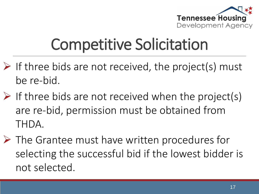

### Competitive Solicitation

- $\triangleright$  If three bids are not received, the project(s) must be re-bid.
- $\triangleright$  If three bids are not received when the project(s) are re-bid, permission must be obtained from THDA.
- $\triangleright$  The Grantee must have written procedures for selecting the successful bid if the lowest bidder is not selected.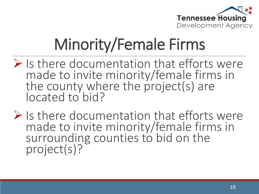

## Minority/Female Firms

- $\triangleright$  Is there documentation that efforts were made to invite minority/female firms in the county where the project(s) are located to bid?
- $\triangleright$  Is there documentation that efforts were made to invite minority/female firms in surrounding counties to bid on the project(s)?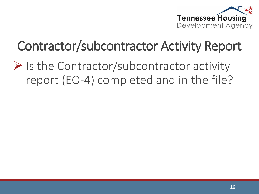

#### Contractor/subcontractor Activity Report

 $\triangleright$  Is the Contractor/subcontractor activity report (EO-4) completed and in the file?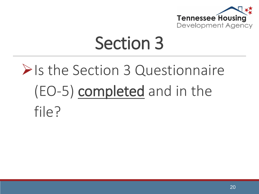

## Section 3

## **Example 3 ≥ Post Section 3 Questionnaire** (EO-5) completed and in the file?